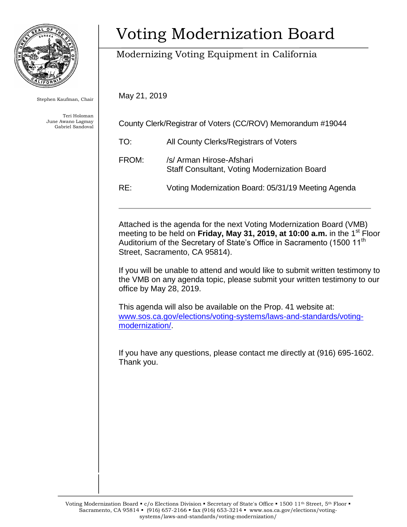

Stephen Kaufman, Chair

Teri Holoman June Awano Lagmay Gabriel Sandoval

# Voting Modernization Board

## Modernizing Voting Equipment in California

May 21, 2019

| County Clerk/Registrar of Voters (CC/ROV) Memorandum #19044 |                                                                                 |
|-------------------------------------------------------------|---------------------------------------------------------------------------------|
| TO:                                                         | All County Clerks/Registrars of Voters                                          |
| FROM:                                                       | /s/ Arman Hirose-Afshari<br><b>Staff Consultant, Voting Modernization Board</b> |
| RE:                                                         | Voting Modernization Board: 05/31/19 Meeting Agenda                             |
|                                                             |                                                                                 |

Attached is the agenda for the next Voting Modernization Board (VMB) meeting to be held on **Friday, May 31, 2019, at 10:00 a.m.** in the 1<sup>st</sup> Floor Auditorium of the Secretary of State's Office in Sacramento (1500 11<sup>th</sup> Street, Sacramento, CA 95814).

If you will be unable to attend and would like to submit written testimony to the VMB on any agenda topic, please submit your written testimony to our office by May 28, 2019.

This agenda will also be available on the Prop. 41 website at: [www.sos.ca.gov/elections/voting-systems/laws-and-standards/voting](http://www.sos.ca.gov/elections/voting-systems/laws-and-standards/voting-modernization/)[modernization/.](http://www.sos.ca.gov/elections/voting-systems/laws-and-standards/voting-modernization/)

If you have any questions, please contact me directly at (916) 695-1602. Thank you.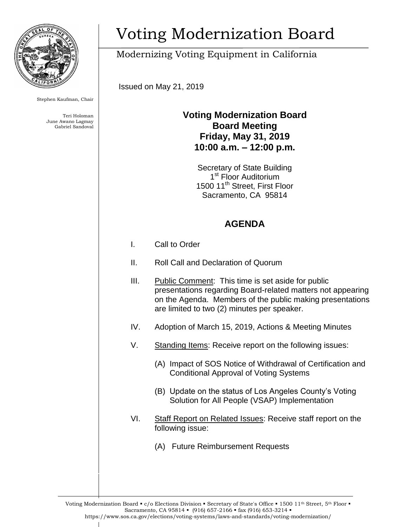

Stephen Kaufman, Chair

Teri Holoman June Awano Lagmay Gabriel Sandoval

# Voting Modernization Board

## Modernizing Voting Equipment in California

Issued on May 21, 2019

#### **Voting Modernization Board Board Meeting Friday, May 31, 2019 10:00 a.m. – 12:00 p.m.**

Secretary of State Building 1<sup>st</sup> Floor Auditorium 1500 11<sup>th</sup> Street, First Floor Sacramento, CA 95814

### **AGENDA**

- I. Call to Order
- II. Roll Call and Declaration of Quorum
- III. Public Comment: This time is set aside for public presentations regarding Board-related matters not appearing on the Agenda. Members of the public making presentations are limited to two (2) minutes per speaker.
- IV. Adoption of March 15, 2019, Actions & Meeting Minutes
- V. Standing Items: Receive report on the following issues:
	- (A) Impact of SOS Notice of Withdrawal of Certification and Conditional Approval of Voting Systems
	- (B) Update on the status of Los Angeles County's Voting Solution for All People (VSAP) Implementation
- VI. Staff Report on Related Issues: Receive staff report on the following issue:
	- (A) Future Reimbursement Requests

Voting Modernization Board • c/o Elections Division • Secretary of State's Office • 1500 11<sup>th</sup> Street, 5<sup>th</sup> Floor • Sacramento, CA 95814 • (916) 657-2166 • fax (916) 653-3214 • https://www.sos.ca.gov/elections/voting-systems/laws-and-standards/voting-modernization/